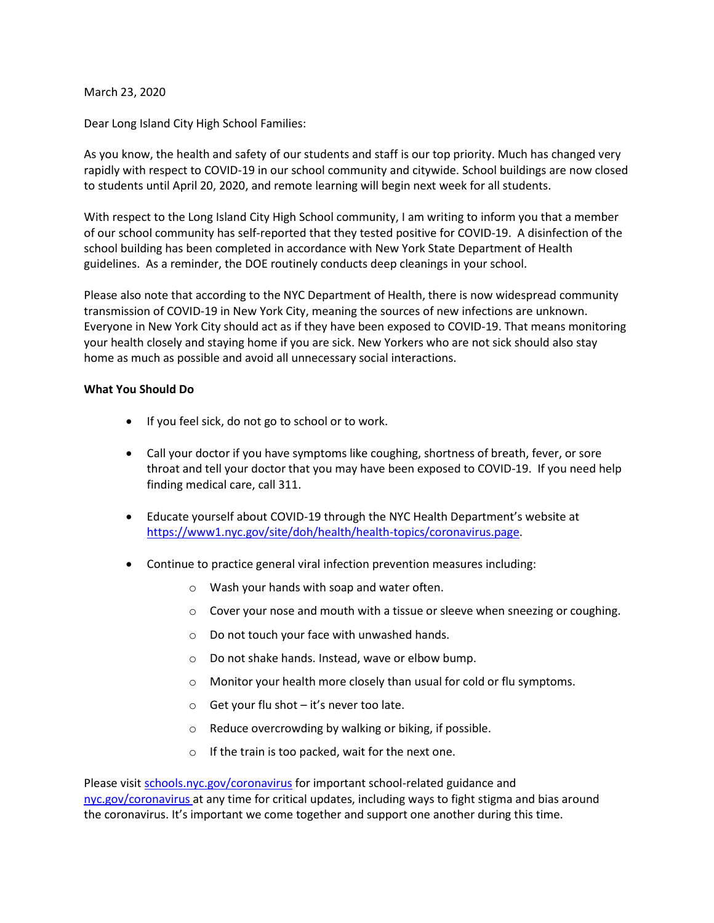## March 23, 2020

Dear Long Island City High School Families:

As you know, the health and safety of our students and staff is our top priority. Much has changed very rapidly with respect to COVID-19 in our school community and citywide. School buildings are now closed to students until April 20, 2020, and remote learning will begin next week for all students.

With respect to the Long Island City High School community, I am writing to inform you that a member of our school community has self-reported that they tested positive for COVID-19. A disinfection of the school building has been completed in accordance with New York State Department of Health guidelines. As a reminder, the DOE routinely conducts deep cleanings in your school.

Please also note that according to the NYC Department of Health, there is now widespread community transmission of COVID-19 in New York City, meaning the sources of new infections are unknown. Everyone in New York City should act as if they have been exposed to COVID-19. That means monitoring your health closely and staying home if you are sick. New Yorkers who are not sick should also stay home as much as possible and avoid all unnecessary social interactions.

## **What You Should Do**

- If you feel sick, do not go to school or to work.
- Call your doctor if you have symptoms like coughing, shortness of breath, fever, or sore throat and tell your doctor that you may have been exposed to COVID-19. If you need help finding medical care, call 311.
- Educate yourself about COVID-19 through the NYC Health Department's website at <https://www1.nyc.gov/site/doh/health/health-topics/coronavirus.page>.
- Continue to practice general viral infection prevention measures including:
	- o Wash your hands with soap and water often.
	- o Cover your nose and mouth with a tissue or sleeve when sneezing or coughing.
	- o Do not touch your face with unwashed hands.
	- o Do not shake hands. Instead, wave or elbow bump.
	- o Monitor your health more closely than usual for cold or flu symptoms.
	- $\circ$  Get your flu shot it's never too late.
	- o Reduce overcrowding by walking or biking, if possible.
	- o If the train is too packed, wait for the next one.

Please visit [schools.nyc.gov/coronavirus](http://schools.nyc.gov/coronavirus) for important school-related guidance and [nyc.gov/coronavirus](http://nyc.gov/coronavirus) at any time for critical updates, including ways to fight stigma and bias around the coronavirus. It's important we come together and support one another during this time.